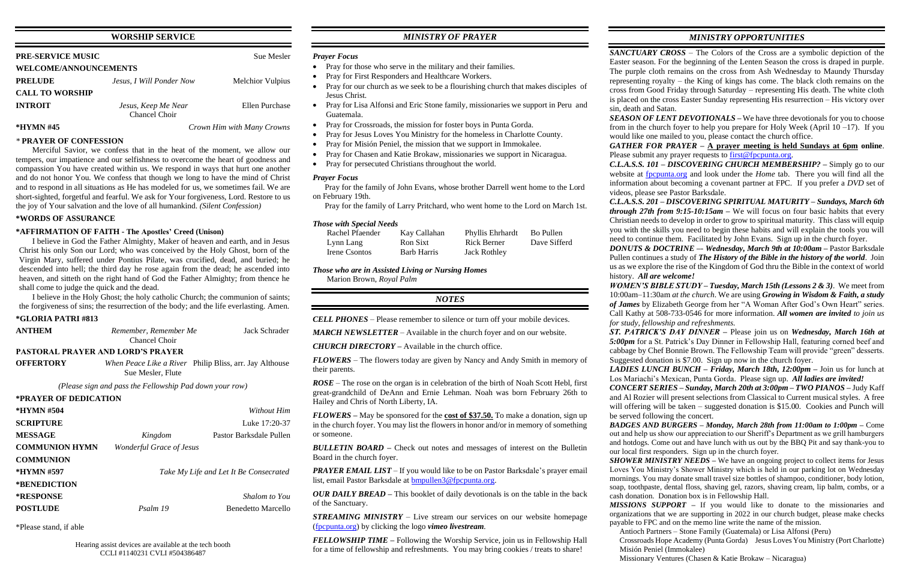# **WORSHIP SERVICE**

| <b>PRE-SERVICE MUSIC</b>     |                                      | <b>Sue Mesler</b>          |  |  |
|------------------------------|--------------------------------------|----------------------------|--|--|
| <b>WELCOME/ANNOUNCEMENTS</b> |                                      |                            |  |  |
| <b>PRELUDE</b>               | Jesus, I Will Ponder Now             | <b>Melchior Vulpius</b>    |  |  |
| <b>CALL TO WORSHIP</b>       |                                      |                            |  |  |
| <b>INTROIT</b>               | Jesus, Keep Me Near<br>Chancel Choir | Ellen Purchase             |  |  |
| *HYMN #45                    |                                      | Crown Him with Many Crowns |  |  |

#### *\** **PRAYER OF CONFESSION**

Merciful Savior, we confess that in the heat of the moment, we allow our tempers, our impatience and our selfishness to overcome the heart of goodness and compassion You have created within us. We respond in ways that hurt one another and do not honor You. We confess that though we long to have the mind of Christ and to respond in all situations as He has modeled for us, we sometimes fail. We are short-sighted, forgetful and fearful. We ask for Your forgiveness, Lord. Restore to us the joy of Your salvation and the love of all humankind. *(Silent Confession)*

#### **\*WORDS OF ASSURANCE**

#### **\*AFFIRMATION OF FAITH - The Apostles' Creed (Unison)**

I believe in God the Father Almighty, Maker of heaven and earth, and in Jesus Christ his only Son our Lord; who was conceived by the Holy Ghost, born of the Virgin Mary, suffered under Pontius Pilate, was crucified, dead, and buried; he descended into hell; the third day he rose again from the dead; he ascended into heaven, and sitteth on the right hand of God the Father Almighty; from thence he shall come to judge the quick and the dead.

I believe in the Holy Ghost; the holy catholic Church; the communion of saints; the forgiveness of sins; the resurrection of the body; and the life everlasting. Amen.

#### **\*GLORIA PATRI #813**

| <b>ANTHEM</b>                            | Remember, Remember Me                                   | Jack Schrader                                           |  |  |
|------------------------------------------|---------------------------------------------------------|---------------------------------------------------------|--|--|
|                                          | Chancel Choir                                           |                                                         |  |  |
| <b>PASTORAL PRAYER AND LORD'S PRAYER</b> |                                                         |                                                         |  |  |
| <b>OFFERTORY</b>                         | Sue Mesler, Flute                                       | When Peace Like a River Philip Bliss, arr. Jay Althouse |  |  |
|                                          | (Please sign and pass the Fellowship Pad down your row) |                                                         |  |  |

## **\*PRAYER OF DEDICATION**

| *HYMN #504            |                                 | Without Him                            |
|-----------------------|---------------------------------|----------------------------------------|
| <b>SCRIPTURE</b>      |                                 | Luke $17:20-37$                        |
| <b>MESSAGE</b>        | Kingdom                         | Pastor Barksdale Pullen                |
| <b>COMMUNION HYMN</b> | <b>Wonderful Grace of Jesus</b> |                                        |
| <b>COMMUNION</b>      |                                 |                                        |
| *HYMN #597            |                                 | Take My Life and Let It Be Consecrated |
| *BENEDICTION          |                                 |                                        |
| <b>*RESPONSE</b>      |                                 | Shalom to You                          |
| <b>POSTLUDE</b>       | Psalm 19                        | Benedetto Marcello                     |

\*Please stand, if able

*PRAYER EMAIL LIST* – If you would like to be on Pastor Barksdale's prayer email list, email Pastor Barksdale at [bmpullen3@fpcpunta.org.](about:blank)

# *MINISTRY OF PRAYER*

#### *Prayer Focus*

- Pray for those who serve in the military and their families.
- Pray for First Responders and Healthcare Workers.
- Pray for our church as we seek to be a flourishing church that makes disciples of Jesus Christ.
- Pray for Lisa Alfonsi and Eric Stone family, missionaries we support in Peru and Guatemala.
- Pray for Crossroads, the mission for foster boys in Punta Gorda.
- Pray for Jesus Loves You Ministry for the homeless in Charlotte County.
- Pray for Misión Peniel, the mission that we support in Immokalee.
- Pray for Chasen and Katie Brokaw, missionaries we support in Nicaragua.
- Pray for persecuted Christians throughout the world.

*SEASON OF LENT DEVOTIONALS* – We have three devotionals for you to choose from in the church foyer to help you prepare for Holy Week (April  $10 - 17$ ). If you would like one mailed to you, please contact the church office.

*GATHER FOR PRAYER –* **A prayer meeting is held Sundays at 6pm online**. Please submit any prayer requests to [first@fpcpunta.org.](about:blank)

#### *Prayer Focus*

 Pray for the family of John Evans, whose brother Darrell went home to the Lord on February 19th.

Pray for the family of Larry Pritchard, who went home to the Lord on March 1st.

#### *Those with Special Needs*

| Rachel Pfaender | Kay Callahan | Phyllis Ehrhardt    | Bo Pullen    |
|-----------------|--------------|---------------------|--------------|
| Lynn Lang       | Ron Sixt     | Rick Berner         | Dave Sifferd |
| Irene Csontos   | Barb Harris  | <b>Jack Rothley</b> |              |

# *Those who are in Assisted Living or Nursing Homes*

Marion Brown, *Royal Palm*

## *NOTES*

*CELL PHONES –* Please remember to silence or turn off your mobile devices.

*MARCH NEWSLETTER –* Available in the church foyer and on our website.

*CHURCH DIRECTORY –* Available in the church office.

*FLOWERS* – The flowers today are given by Nancy and Andy Smith in memory of their parents.

*ROSE* – The rose on the organ is in celebration of the birth of Noah Scott Hebl, first great-grandchild of DeAnn and Ernie Lehman. Noah was born February 26th to Hailey and Chris of North Liberty, IA.

*FLOWERS –* May be sponsored for the **cost of \$37.50.** To make a donation, sign up in the church foyer. You may list the flowers in honor and/or in memory of something or someone.

*BULLETIN BOARD –* Check out notes and messages of interest on the Bulletin Board in the church foyer.

*OUR DAILY BREAD –* This booklet of daily devotionals is on the table in the back of the Sanctuary.

*STREAMING MINISTRY –* Live stream our services on our website homepage [\(fpcpunta.org\)](about:blank) by clicking the logo *vimeo livestream.*

*FELLOWSHIP TIME –* Following the Worship Service, join us in Fellowship Hall for a time of fellowship and refreshments. You may bring cookies / treats to share!

# *MINISTRY OPPORTUNITIES*

*SANCTUARY CROSS* – The Colors of the Cross are a symbolic depiction of the Easter season. For the beginning of the Lenten Season the cross is draped in purple. The purple cloth remains on the cross from Ash Wednesday to Maundy Thursday representing royalty – the King of kings has come. The black cloth remains on the cross from Good Friday through Saturday – representing His death. The white cloth is placed on the cross Easter Sunday representing His resurrection – His victory over

*C.L.A.S.S. 101 – DISCOVERING CHURCH MEMBERSHIP? –* Simply go to our website at [fpcpunta.org](about:blank) and look under the *Home* tab. There you will find all the information about becoming a covenant partner at FPC. If you prefer a *DVD* set of videos, please see Pastor Barksdale.

sin, death and Satan. history. *All are welcome!*

*C.L.A.S.S. 201 – DISCOVERING SPIRITUAL MATURITY – Sundays, March 6th through 27th from 9:15-10:15am –* We will focus on four basic habits that every Christian needs to develop in order to grow to spiritual maturity. This class will equip you with the skills you need to begin these habits and will explain the tools you will need to continue them. Facilitated by John Evans. Sign up in the church foyer.

*DONUTS & DOCTRINE –*- *Wednesday, March 9th at 10:00am –* Pastor Barksdale Pullen continues a study of *The History of the Bible in the history of the world*. Join us as we explore the rise of the Kingdom of God thru the Bible in the context of world

*WOMEN'S BIBLE STUDY – Tuesday, March 15th (Lessons 2 & 3)*. We meet from 10:00am–11:30am *at the church*. We are using *Growing in Wisdom & Faith, a study of James* by Elizabeth George from her "A Woman After God's Own Heart" series. Call Kathy at 508-733-0546 for more information. *All women are invited to join us for study, fellowship and refreshments.*

*ST. PATRICK'S DAY DINNER –* Please join us on *Wednesday, March 16th at 5:00pm* for a St. Patrick's Day Dinner in Fellowship Hall, featuring corned beef and cabbage by Chef Bonnie Brown. The Fellowship Team will provide "green" desserts. Suggested donation is \$7.00. Sign up now in the church foyer.

*LADIES LUNCH BUNCH – Friday, March 18th, 12:00pm –* Join us for lunch at Los Mariachi's Mexican, Punta Gorda. Please sign up. *All ladies are invited!*

*CONCERT SERIES – Sunday, March 20th at 3:00pm – TWO PIANOS –* Judy Kaff and Al Rozier will present selections from Classical to Current musical styles. A free will offering will be taken – suggested donation is \$15.00. Cookies and Punch will be served following the concert.

*BADGES AND BURGERS – Monday, March 28th from 11:00am to 1:00pm –* Come out and help us show our appreciation to our Sheriff's Department as we grill hamburgers and hotdogs. Come out and have lunch with us out by the BBQ Pit and say thank-you to our local first responders. Sign up in the church foyer.

*SHOWER MINISTRY NEEDS –* We have an ongoing project to collect items for Jesus Loves You Ministry's Shower Ministry which is held in our parking lot on Wednesday mornings. You may donate small travel size bottles of shampoo, conditioner, body lotion, soap, toothpaste, dental floss, shaving gel, razors, shaving cream, lip balm, combs, or a cash donation. Donation box is in Fellowship Hall.

*MISSIONS SUPPORT –* If you would like to donate to the missionaries and organizations that we are supporting in 2022 in our church budget, please make checks payable to FPC and on the memo line write the name of the mission.

 Antioch Partners – Stone Family (Guatemala) or Lisa Alfonsi (Peru) Crossroads Hope Academy (Punta Gorda) Jesus Loves You Ministry (Port Charlotte) Misión Peniel (Immokalee) Missionary Ventures (Chasen & Katie Brokaw – Nicaragua)